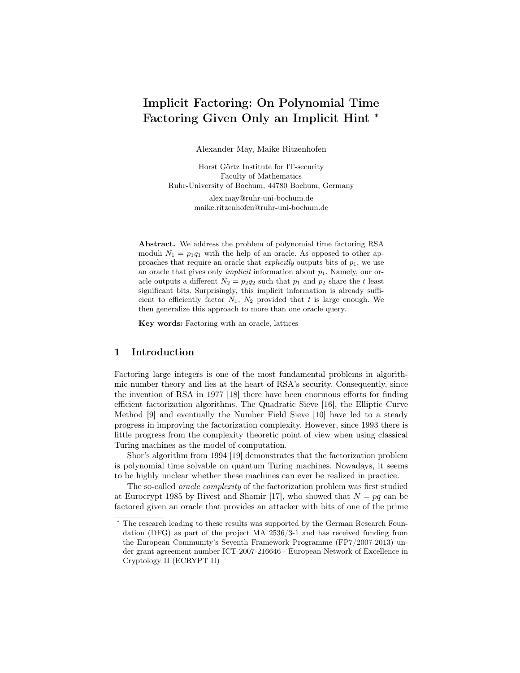# Implicit Factoring: On Polynomial Time Factoring Given Only an Implicit Hint <sup>∗</sup>

Alexander May, Maike Ritzenhofen

Horst Görtz Institute for IT-security Faculty of Mathematics Ruhr-University of Bochum, 44780 Bochum, Germany alex.may@ruhr-uni-bochum.de maike.ritzenhofen@ruhr-uni-bochum.de

Abstract. We address the problem of polynomial time factoring RSA moduli  $N_1 = p_1q_1$  with the help of an oracle. As opposed to other approaches that require an oracle that *explicitly* outputs bits of  $p_1$ , we use an oracle that gives only *implicit* information about  $p_1$ . Namely, our oracle outputs a different  $N_2 = p_2 q_2$  such that  $p_1$  and  $p_2$  share the t least significant bits. Surprisingly, this implicit information is already sufficient to efficiently factor  $N_1$ ,  $N_2$  provided that t is large enough. We then generalize this approach to more than one oracle query.

Key words: Factoring with an oracle, lattices

## 1 Introduction

Factoring large integers is one of the most fundamental problems in algorithmic number theory and lies at the heart of RSA's security. Consequently, since the invention of RSA in 1977 [18] there have been enormous efforts for finding efficient factorization algorithms. The Quadratic Sieve [16], the Elliptic Curve Method [9] and eventually the Number Field Sieve [10] have led to a steady progress in improving the factorization complexity. However, since 1993 there is little progress from the complexity theoretic point of view when using classical Turing machines as the model of computation.

Shor's algorithm from 1994 [19] demonstrates that the factorization problem is polynomial time solvable on quantum Turing machines. Nowadays, it seems to be highly unclear whether these machines can ever be realized in practice.

The so-called oracle complexity of the factorization problem was first studied at Eurocrypt 1985 by Rivest and Shamir [17], who showed that  $N = pq$  can be factored given an oracle that provides an attacker with bits of one of the prime

The research leading to these results was supported by the German Research Foundation (DFG) as part of the project MA 2536/3-1 and has received funding from the European Community's Seventh Framework Programme (FP7/2007-2013) under grant agreement number ICT-2007-216646 - European Network of Excellence in Cryptology II (ECRYPT II)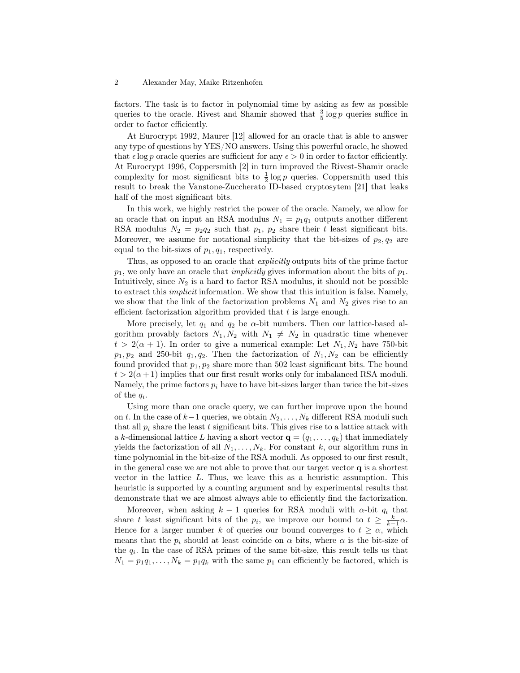factors. The task is to factor in polynomial time by asking as few as possible queries to the oracle. Rivest and Shamir showed that  $\frac{3}{5} \log p$  queries suffice in order to factor efficiently.

At Eurocrypt 1992, Maurer [12] allowed for an oracle that is able to answer any type of questions by YES/NO answers. Using this powerful oracle, he showed that  $\epsilon \log p$  oracle queries are sufficient for any  $\epsilon > 0$  in order to factor efficiently. At Eurocrypt 1996, Coppersmith [2] in turn improved the Rivest-Shamir oracle complexity for most significant bits to  $\frac{1}{2} \log p$  queries. Coppersmith used this result to break the Vanstone-Zuccherato ID-based cryptosytem [21] that leaks half of the most significant bits.

In this work, we highly restrict the power of the oracle. Namely, we allow for an oracle that on input an RSA modulus  $N_1 = p_1q_1$  outputs another different RSA modulus  $N_2 = p_2 q_2$  such that  $p_1, p_2$  share their t least significant bits. Moreover, we assume for notational simplicity that the bit-sizes of  $p_2, q_2$  are equal to the bit-sizes of  $p_1, q_1$ , respectively.

Thus, as opposed to an oracle that *explicitly* outputs bits of the prime factor  $p_1$ , we only have an oracle that *implicitly* gives information about the bits of  $p_1$ . Intuitively, since  $N_2$  is a hard to factor RSA modulus, it should not be possible to extract this implicit information. We show that this intuition is false. Namely, we show that the link of the factorization problems  $N_1$  and  $N_2$  gives rise to an efficient factorization algorithm provided that  $t$  is large enough.

More precisely, let  $q_1$  and  $q_2$  be  $\alpha$ -bit numbers. Then our lattice-based algorithm provably factors  $N_1, N_2$  with  $N_1 \neq N_2$  in quadratic time whenever  $t > 2(\alpha + 1)$ . In order to give a numerical example: Let  $N_1, N_2$  have 750-bit  $p_1, p_2$  and 250-bit  $q_1, q_2$ . Then the factorization of  $N_1, N_2$  can be efficiently found provided that  $p_1, p_2$  share more than 502 least significant bits. The bound  $t > 2(\alpha + 1)$  implies that our first result works only for imbalanced RSA moduli. Namely, the prime factors  $p_i$  have to have bit-sizes larger than twice the bit-sizes of the  $q_i$ .

Using more than one oracle query, we can further improve upon the bound on t. In the case of  $k-1$  queries, we obtain  $N_2, \ldots, N_k$  different RSA moduli such that all  $p_i$  share the least t significant bits. This gives rise to a lattice attack with a k-dimensional lattice L having a short vector  $\mathbf{q} = (q_1, \ldots, q_k)$  that immediately yields the factorization of all  $N_1, \ldots, N_k$ . For constant k, our algorithm runs in time polynomial in the bit-size of the RSA moduli. As opposed to our first result, in the general case we are not able to prove that our target vector q is a shortest vector in the lattice  $L$ . Thus, we leave this as a heuristic assumption. This heuristic is supported by a counting argument and by experimental results that demonstrate that we are almost always able to efficiently find the factorization.

Moreover, when asking  $k - 1$  queries for RSA moduli with  $\alpha$ -bit  $q_i$  that share t least significant bits of the  $p_i$ , we improve our bound to  $t \geq \frac{k}{k-1}\alpha$ . Hence for a larger number k of queries our bound converges to  $t \geq \alpha$ , which means that the  $p_i$  should at least coincide on  $\alpha$  bits, where  $\alpha$  is the bit-size of the  $q_i$ . In the case of RSA primes of the same bit-size, this result tells us that  $N_1 = p_1q_1, \ldots, N_k = p_1q_k$  with the same  $p_1$  can efficiently be factored, which is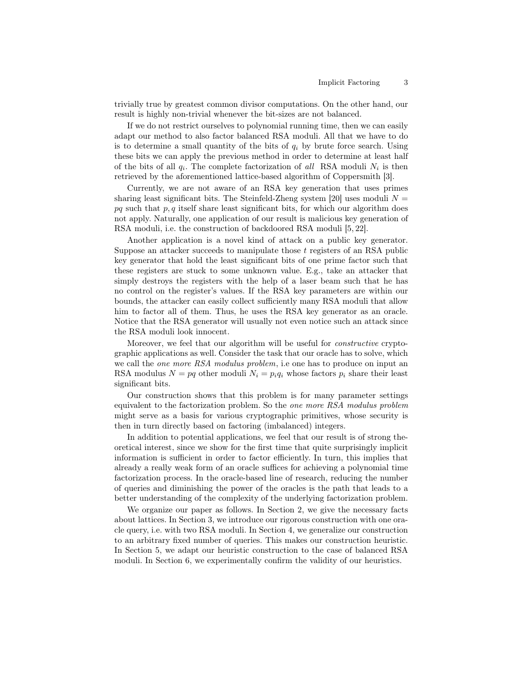trivially true by greatest common divisor computations. On the other hand, our result is highly non-trivial whenever the bit-sizes are not balanced.

If we do not restrict ourselves to polynomial running time, then we can easily adapt our method to also factor balanced RSA moduli. All that we have to do is to determine a small quantity of the bits of  $q_i$  by brute force search. Using these bits we can apply the previous method in order to determine at least half of the bits of all  $q_i$ . The complete factorization of all RSA moduli  $N_i$  is then retrieved by the aforementioned lattice-based algorithm of Coppersmith [3].

Currently, we are not aware of an RSA key generation that uses primes sharing least significant bits. The Steinfeld-Zheng system [20] uses moduli  $N =$ pq such that p, q itself share least significant bits, for which our algorithm does not apply. Naturally, one application of our result is malicious key generation of RSA moduli, i.e. the construction of backdoored RSA moduli [5, 22].

Another application is a novel kind of attack on a public key generator. Suppose an attacker succeeds to manipulate those  $t$  registers of an RSA public key generator that hold the least significant bits of one prime factor such that these registers are stuck to some unknown value. E.g., take an attacker that simply destroys the registers with the help of a laser beam such that he has no control on the register's values. If the RSA key parameters are within our bounds, the attacker can easily collect sufficiently many RSA moduli that allow him to factor all of them. Thus, he uses the RSA key generator as an oracle. Notice that the RSA generator will usually not even notice such an attack since the RSA moduli look innocent.

Moreover, we feel that our algorithm will be useful for constructive cryptographic applications as well. Consider the task that our oracle has to solve, which we call the *one more RSA modulus problem*, i.e one has to produce on input an RSA modulus  $N = pq$  other moduli  $N_i = p_i q_i$  whose factors  $p_i$  share their least significant bits.

Our construction shows that this problem is for many parameter settings equivalent to the factorization problem. So the one more RSA modulus problem might serve as a basis for various cryptographic primitives, whose security is then in turn directly based on factoring (imbalanced) integers.

In addition to potential applications, we feel that our result is of strong theoretical interest, since we show for the first time that quite surprisingly implicit information is sufficient in order to factor efficiently. In turn, this implies that already a really weak form of an oracle suffices for achieving a polynomial time factorization process. In the oracle-based line of research, reducing the number of queries and diminishing the power of the oracles is the path that leads to a better understanding of the complexity of the underlying factorization problem.

We organize our paper as follows. In Section 2, we give the necessary facts about lattices. In Section 3, we introduce our rigorous construction with one oracle query, i.e. with two RSA moduli. In Section 4, we generalize our construction to an arbitrary fixed number of queries. This makes our construction heuristic. In Section 5, we adapt our heuristic construction to the case of balanced RSA moduli. In Section 6, we experimentally confirm the validity of our heuristics.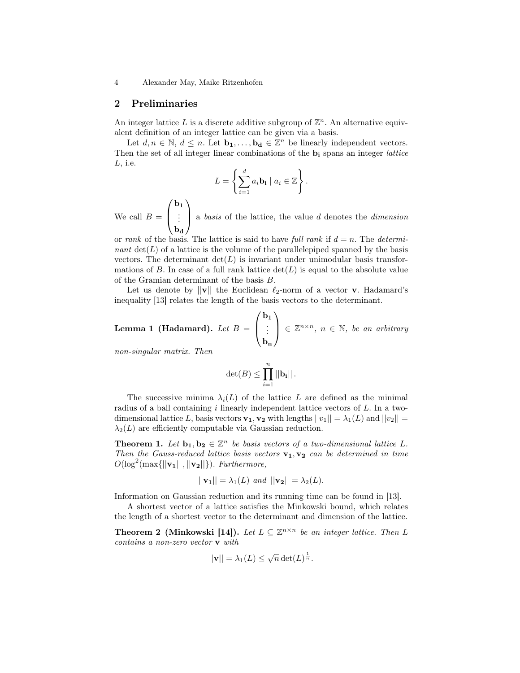## 2 Preliminaries

An integer lattice L is a discrete additive subgroup of  $\mathbb{Z}^n$ . An alternative equivalent definition of an integer lattice can be given via a basis.

Let  $d, n \in \mathbb{N}, d \leq n$ . Let  $\mathbf{b_1}, \ldots, \mathbf{b_d} \in \mathbb{Z}^n$  be linearly independent vectors. Then the set of all integer linear combinations of the  $b_i$  spans an integer *lattice* L, i.e.

$$
L = \left\{ \sum_{i=1}^d a_i \mathbf{b_i} \mid a_i \in \mathbb{Z} \right\}.
$$

We call  $B =$  $\sqrt{ }$  $\overline{ }$  $\mathbf{b_{1}}$ . . .  $\mathbf{b_{d}}$  $\setminus$  $\Box$  a basis of the lattice, the value  $d$  denotes the *dimension* 

or rank of the basis. The lattice is said to have full rank if  $d = n$ . The determinant  $det(L)$  of a lattice is the volume of the parallelepiped spanned by the basis vectors. The determinant  $\det(L)$  is invariant under unimodular basis transformations of B. In case of a full rank lattice  $\det(L)$  is equal to the absolute value of the Gramian determinant of the basis B.

Let us denote by  $||\mathbf{v}||$  the Euclidean  $\ell_2$ -norm of a vector **v**. Hadamard's inequality [13] relates the length of the basis vectors to the determinant.

Lemma 1 (Hadamard). Let  $B=$  $\sqrt{ }$  $\overline{ }$  $\mathbf{b_1}$ . . .  $\mathbf{b}_{\mathbf{n}}$  $\setminus$  $\Big\} \in \mathbb{Z}^{n \times n}$ ,  $n \in \mathbb{N}$ , be an arbitrary

non-singular matrix. Then

$$
\det(B) \le \prod_{i=1}^n ||\mathbf{b_i}||.
$$

The successive minima  $\lambda_i(L)$  of the lattice L are defined as the minimal radius of a ball containing i linearly independent lattice vectors of  $L$ . In a twodimensional lattice L, basis vectors  $\mathbf{v}_1, \mathbf{v}_2$  with lengths  $||v_1|| = \lambda_1(L)$  and  $||v_2|| =$  $\lambda_2(L)$  are efficiently computable via Gaussian reduction.

**Theorem 1.** Let  $\mathbf{b_1}, \mathbf{b_2} \in \mathbb{Z}^n$  be basis vectors of a two-dimensional lattice L. Then the Gauss-reduced lattice basis vectors  $v_1, v_2$  can be determined in time  $O(\log^2(\max\{||\mathbf{v_1}||, ||\mathbf{v_2}||\})$ . Furthermore,

$$
||\mathbf{v_1}|| = \lambda_1(L) \text{ and } ||\mathbf{v_2}|| = \lambda_2(L).
$$

Information on Gaussian reduction and its running time can be found in [13].

A shortest vector of a lattice satisfies the Minkowski bound, which relates the length of a shortest vector to the determinant and dimension of the lattice.

**Theorem 2 (Minkowski [14]).** Let  $L \subseteq \mathbb{Z}^{n \times n}$  be an integer lattice. Then L contains a non-zero vector v with

$$
||\mathbf{v}|| = \lambda_1(L) \le \sqrt{n} \det(L)^{\frac{1}{n}}.
$$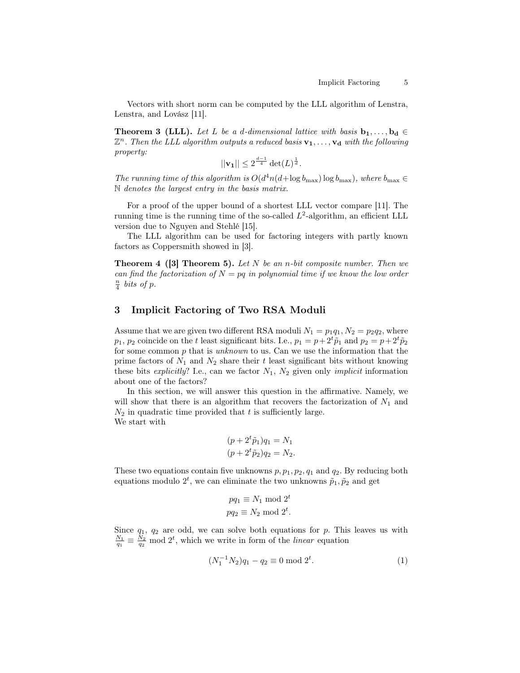Vectors with short norm can be computed by the LLL algorithm of Lenstra, Lenstra, and Lovász [11].

**Theorem 3 (LLL).** Let L be a d-dimensional lattice with basis  $\mathbf{b}_1, \ldots, \mathbf{b}_d \in$  $\mathbb{Z}^n$ . Then the LLL algorithm outputs a reduced basis  $\mathbf{v_1}, \ldots, \mathbf{v_d}$  with the following property:

$$
||\mathbf{v_1}|| \leq 2^{\frac{d-1}{4}} \det(L)^{\frac{1}{d}}.
$$

The running time of this algorithm is  $O(d^4n(d+\log b_{\max}))$  as  $b_{\max}$ , where  $b_{\max} \in$  $\mathbb N$  denotes the largest entry in the basis matrix.

For a proof of the upper bound of a shortest LLL vector compare [11]. The running time is the running time of the so-called  $L^2$ -algorithm, an efficient LLL version due to Nguyen and Stehlé [15].

The LLL algorithm can be used for factoring integers with partly known factors as Coppersmith showed in [3].

**Theorem 4 ([3] Theorem 5).** Let N be an n-bit composite number. Then we can find the factorization of  $N = pq$  in polynomial time if we know the low order  $\frac{n}{4}$  bits of p.

# 3 Implicit Factoring of Two RSA Moduli

Assume that we are given two different RSA moduli  $N_1 = p_1q_1, N_2 = p_2q_2$ , where  $p_1, p_2$  coincide on the t least significant bits. I.e.,  $p_1 = p + 2^t \tilde{p}_1$  and  $p_2 = p + 2^t \tilde{p}_2$ for some common p that is unknown to us. Can we use the information that the prime factors of  $N_1$  and  $N_2$  share their t least significant bits without knowing these bits *explicitly*? I.e., can we factor  $N_1$ ,  $N_2$  given only *implicit* information about one of the factors?

In this section, we will answer this question in the affirmative. Namely, we will show that there is an algorithm that recovers the factorization of  $N_1$  and  $N_2$  in quadratic time provided that t is sufficiently large. We start with

$$
(p+2t\tilde{p}_1)q_1 = N_1
$$
  

$$
(p+2t\tilde{p}_2)q_2 = N_2.
$$

These two equations contain five unknowns  $p, p_1, p_2, q_1$  and  $q_2$ . By reducing both equations modulo  $2^t$ , we can eliminate the two unknowns  $\tilde{p}_1, \tilde{p}_2$  and get

$$
pq_1 \equiv N_1 \mod 2^t
$$
  

$$
pq_2 \equiv N_2 \mod 2^t.
$$

Since  $q_1$ ,  $q_2$  are odd, we can solve both equations for p. This leaves us with  $\frac{N_1}{q_1} \equiv \frac{N_2}{q_2}$  mod  $2^t$ , which we write in form of the *linear* equation

$$
(N_1^{-1}N_2)q_1 - q_2 \equiv 0 \mod 2^t. \tag{1}
$$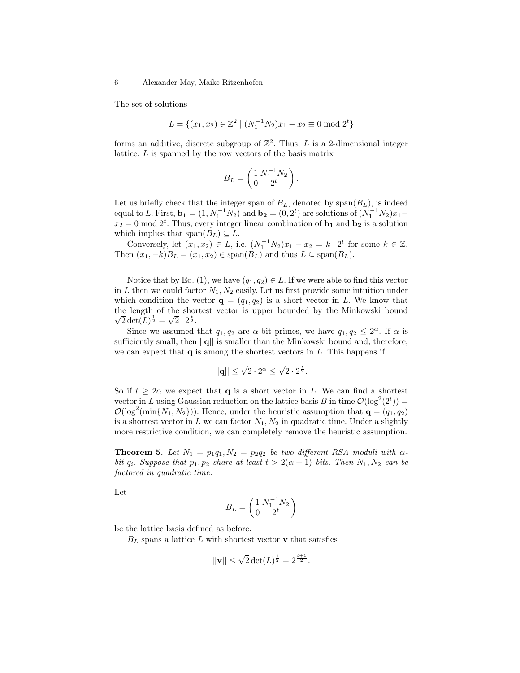The set of solutions

$$
L = \{(x_1, x_2) \in \mathbb{Z}^2 \mid (N_1^{-1}N_2)x_1 - x_2 \equiv 0 \mod 2^t\}
$$

forms an additive, discrete subgroup of  $\mathbb{Z}^2$ . Thus, L is a 2-dimensional integer lattice.  $L$  is spanned by the row vectors of the basis matrix

$$
B_L = \begin{pmatrix} 1 & N_1^{-1} N_2 \\ 0 & 2^t \end{pmatrix}.
$$

Let us briefly check that the integer span of  $B_L$ , denoted by span $(B_L)$ , is indeed equal to L. First,  $\mathbf{b_1} = (1, N_1^{-1}N_2)$  and  $\mathbf{b_2} = (0, 2^t)$  are solutions of  $(N_1^{-1}N_2)x_1$  –  $x_2 = 0 \mod 2^t$ . Thus, every integer linear combination of  $\mathbf{b_1}$  and  $\mathbf{b_2}$  is a solution which implies that span $(B_L) \subseteq L$ .

Conversely, let  $(x_1, x_2) \in L$ , i.e.  $(N_1^{-1} N_2)x_1 - x_2 = k \cdot 2^t$  for some  $k \in \mathbb{Z}$ . Then  $(x_1, -k)B_L = (x_1, x_2) \in \text{span}(B_L)$  and thus  $L \subseteq \text{span}(B_L)$ .

Notice that by Eq. (1), we have  $(q_1, q_2) \in L$ . If we were able to find this vector in  $L$  then we could factor  $N_1, N_2$  easily. Let us first provide some intuition under which condition the vector  $\mathbf{q} = (q_1, q_2)$  is a short vector in L. We know that the length of the shortest vector is upper bounded by the Minkowski bound  $\overline{2} \det(L)^{\frac{1}{2}} = \sqrt{2} \cdot 2^{\frac{t}{2}}.$ 

Since we assumed that  $q_1, q_2$  are  $\alpha$ -bit primes, we have  $q_1, q_2 \leq 2^{\alpha}$ . If  $\alpha$  is sufficiently small, then  $||q||$  is smaller than the Minkowski bound and, therefore, we can expect that  $q$  is among the shortest vectors in  $L$ . This happens if

$$
||\mathbf{q}|| \leq \sqrt{2} \cdot 2^{\alpha} \leq \sqrt{2} \cdot 2^{\frac{t}{2}}.
$$

So if  $t \geq 2\alpha$  we expect that **q** is a short vector in L. We can find a shortest vector in L using Gaussian reduction on the lattice basis B in time  $\mathcal{O}(\log^2(2^t))$  =  $\mathcal{O}(\log^2(\min\{N_1, N_2\}))$ . Hence, under the heuristic assumption that  $\mathbf{q} = (q_1, q_2)$ is a shortest vector in L we can factor  $N_1, N_2$  in quadratic time. Under a slightly more restrictive condition, we can completely remove the heuristic assumption.

**Theorem 5.** Let  $N_1 = p_1q_1, N_2 = p_2q_2$  be two different RSA moduli with  $\alpha$ bit  $q_i$ . Suppose that  $p_1, p_2$  share at least  $t > 2(\alpha + 1)$  bits. Then  $N_1, N_2$  can be factored in quadratic time.

Let

$$
B_L = \begin{pmatrix} 1 & N_1^{-1}N_2 \\ 0 & 2^t \end{pmatrix}
$$

be the lattice basis defined as before.

 $B_L$  spans a lattice L with shortest vector **v** that satisfies

$$
||\mathbf{v}|| \le \sqrt{2} \det(L)^{\frac{1}{2}} = 2^{\frac{t+1}{2}}.
$$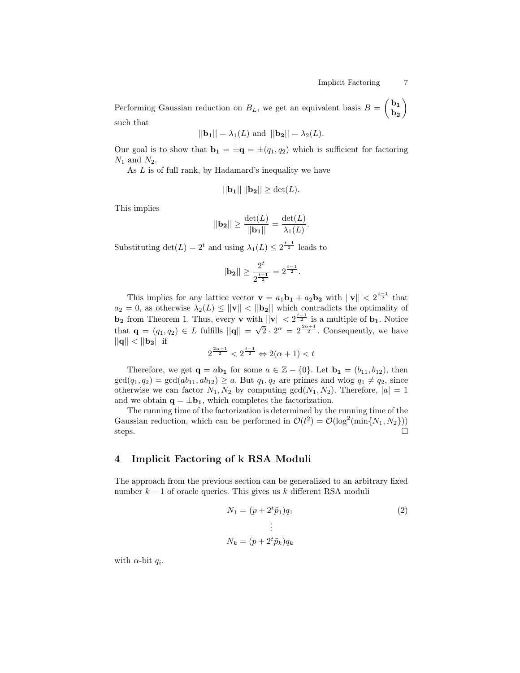Performing Gaussian reduction on  $B_L$ , we get an equivalent basis  $B = \begin{pmatrix} \mathbf{b}_1 \\ \mathbf{b}_2 \end{pmatrix}$  $\mathbf{b_{2}}$  $\setminus$ such that

$$
||\mathbf{b_1}|| = \lambda_1(L)
$$
 and  $||\mathbf{b_2}|| = \lambda_2(L)$ .

Our goal is to show that  $\mathbf{b}_1 = \pm \mathbf{q} = \pm (q_1, q_2)$  which is sufficient for factoring  $N_1$  and  $N_2$ .

As L is of full rank, by Hadamard's inequality we have

$$
||\mathbf{b_1}|| ||\mathbf{b_2}|| \geq \det(L).
$$

This implies

$$
||\mathbf{b_2}|| \geq \frac{\det(L)}{||\mathbf{b_1}||} = \frac{\det(L)}{\lambda_1(L)}.
$$

Substituting  $\det(L) = 2^t$  and using  $\lambda_1(L) \leq 2^{\frac{t+1}{2}}$  leads to

$$
||\mathbf{b_2}|| \geq \frac{2^t}{2^{\frac{t+1}{2}}} = 2^{\frac{t-1}{2}}.
$$

This implies for any lattice vector  $\mathbf{v} = a_1 \mathbf{b_1} + a_2 \mathbf{b_2}$  with  $||\mathbf{v}|| < 2^{\frac{t-1}{2}}$  that  $a_2 = 0$ , as otherwise  $\lambda_2(L) \le ||\mathbf{v}|| < ||\mathbf{b}_2||$  which contradicts the optimality of  $\mathbf{b_2}$  from Theorem 1. Thus, every **v** with  $||\mathbf{v}|| < 2^{\frac{t-1}{2}}$  is a multiple of  $\mathbf{b_1}$ . Notice that  $\mathbf{q} = (q_1, q_2) \in L$  fulfills  $||\mathbf{q}|| =$ √  $\overline{2} \cdot 2^{\alpha} = 2^{\frac{2\alpha+1}{2}}$ . Consequently, we have  $||q|| < ||\mathbf{b_2}||$  if

$$
2^{\frac{2\alpha+1}{2}} < 2^{\frac{t-1}{2}} \Leftrightarrow 2(\alpha+1) < t
$$

Therefore, we get  $\mathbf{q} = a\mathbf{b_1}$  for some  $a \in \mathbb{Z} - \{0\}$ . Let  $\mathbf{b_1} = (b_{11}, b_{12})$ , then  $gcd(q_1, q_2) = gcd(ab_{11}, ab_{12}) \ge a$ . But  $q_1, q_2$  are primes and wlog  $q_1 \ne q_2$ , since otherwise we can factor  $N_1, N_2$  by computing  $gcd(N_1, N_2)$ . Therefore,  $|a| = 1$ and we obtain  $\mathbf{q} = \pm \mathbf{b_1}$ , which completes the factorization.

The running time of the factorization is determined by the running time of the Gaussian reduction, which can be performed in  $\mathcal{O}(t^2) = \mathcal{O}(\log^2(\min\{N_1, N_2\}))$ steps.  $\square$ 

## 4 Implicit Factoring of k RSA Moduli

The approach from the previous section can be generalized to an arbitrary fixed number  $k - 1$  of oracle queries. This gives us k different RSA moduli

$$
N_1 = (p + 2t \tilde{p}_1) q_1
$$
  
\n
$$
\vdots
$$
  
\n
$$
N_k = (p + 2t \tilde{p}_k) q_k
$$
\n(2)

with  $\alpha$ -bit  $q_i$ .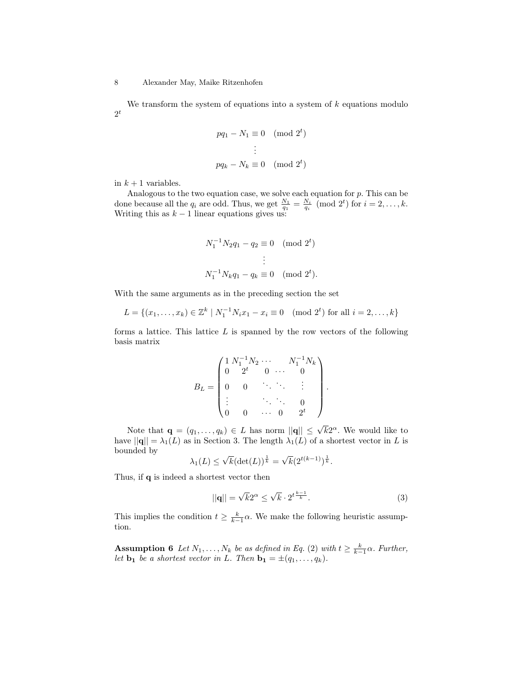We transform the system of equations into a system of  $k$  equations modulo  $2^t$ 

$$
pq_1 - N_1 \equiv 0 \pmod{2^t}
$$

$$
\vdots
$$

$$
pq_k - N_k \equiv 0 \pmod{2^t}
$$

in  $k + 1$  variables.

Analogous to the two equation case, we solve each equation for  $p$ . This can be done because all the  $q_i$  are odd. Thus, we get  $\frac{N_1}{q_1} = \frac{N_i}{q_i} \pmod{2^t}$  for  $i = 2, \ldots, k$ . Writing this as  $k-1$  linear equations gives us:

$$
N_1^{-1} N_2 q_1 - q_2 \equiv 0 \pmod{2^t}
$$
  

$$
\vdots
$$
  

$$
N_1^{-1} N_k q_1 - q_k \equiv 0 \pmod{2^t}.
$$

With the same arguments as in the preceding section the set

$$
L = \{(x_1, \ldots, x_k) \in \mathbb{Z}^k \mid N_1^{-1} N_i x_1 - x_i \equiv 0 \pmod{2^t} \text{ for all } i = 2, \ldots, k\}
$$

forms a lattice. This lattice  $L$  is spanned by the row vectors of the following basis matrix

$$
B_L = \begin{pmatrix} 1 & N_1^{-1}N_2 & \cdots & N_1^{-1}N_k \\ 0 & 2^t & 0 & \cdots & 0 \\ 0 & 0 & \ddots & \ddots & \vdots \\ \vdots & & & \ddots & \ddots & 0 \\ 0 & 0 & \cdots & 0 & 2^t \end{pmatrix}.
$$

Note that  $\mathbf{q} = (q_1, \ldots, q_k) \in L$  has norm  $||\mathbf{q}|| \leq \sqrt{k} 2^{\alpha}$ . We would like to have  $||\mathbf{q}|| = \lambda_1(L)$  as in Section 3. The length  $\lambda_1(L)$  of a shortest vector in L is bounded by √ √

$$
\lambda_1(L) \le \sqrt{k} (\det(L))^{\frac{1}{k}} = \sqrt{k} (2^{t(k-1)})^{\frac{1}{k}}.
$$

Thus, if q is indeed a shortest vector then

$$
||\mathbf{q}|| = \sqrt{k}2^{\alpha} \le \sqrt{k} \cdot 2^{t\frac{k-1}{k}}.\tag{3}
$$

This implies the condition  $t \geq \frac{k}{k-1}\alpha$ . We make the following heuristic assumption.

**Assumption 6** Let  $N_1, \ldots, N_k$  be as defined in Eq. (2) with  $t \geq \frac{k}{k-1}\alpha$ . Further, let  $\mathbf{b_1}$  be a shortest vector in L. Then  $\mathbf{b_1} = \pm (q_1, \ldots, q_k)$ .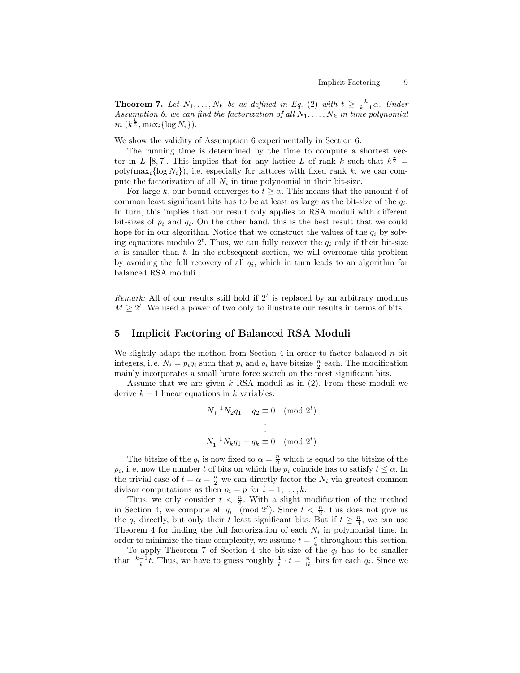**Theorem 7.** Let  $N_1, \ldots, N_k$  be as defined in Eq. (2) with  $t \geq \frac{k}{k-1}\alpha$ . Under Assumption 6, we can find the factorization of all  $N_1, \ldots, N_k$  in time polynomial in  $(k^{\frac{k}{2}}, \max_i {\log N_i}).$ 

We show the validity of Assumption 6 experimentally in Section 6.

The running time is determined by the time to compute a shortest vector in L [8, 7]. This implies that for any lattice L of rank k such that  $k^{\frac{k}{2}} =$  $poly(max_i\{log N_i\})$ , i.e. especially for lattices with fixed rank k, we can compute the factorization of all  $N_i$  in time polynomial in their bit-size.

For large k, our bound converges to  $t \geq \alpha$ . This means that the amount t of common least significant bits has to be at least as large as the bit-size of the  $q_i$ . In turn, this implies that our result only applies to RSA moduli with different bit-sizes of  $p_i$  and  $q_i$ . On the other hand, this is the best result that we could hope for in our algorithm. Notice that we construct the values of the  $q_i$  by solving equations modulo  $2^t$ . Thus, we can fully recover the  $q_i$  only if their bit-size  $\alpha$  is smaller than t. In the subsequent section, we will overcome this problem by avoiding the full recovery of all  $q_i$ , which in turn leads to an algorithm for balanced RSA moduli.

Remark: All of our results still hold if  $2<sup>t</sup>$  is replaced by an arbitrary modulus  $M \geq 2^t$ . We used a power of two only to illustrate our results in terms of bits.

## 5 Implicit Factoring of Balanced RSA Moduli

We slightly adapt the method from Section 4 in order to factor balanced n-bit integers, i.e.  $N_i = p_i q_i$  such that  $p_i$  and  $q_i$  have bitsize  $\frac{n}{2}$  each. The modification mainly incorporates a small brute force search on the most significant bits.

Assume that we are given  $k$  RSA moduli as in  $(2)$ . From these moduli we derive  $k - 1$  linear equations in k variables:

$$
N_1^{-1}N_2q_1 - q_2 \equiv 0 \pmod{2^t}
$$

$$
\vdots
$$

$$
N_1^{-1}N_kq_1 - q_k \equiv 0 \pmod{2^t}
$$

The bitsize of the  $q_i$  is now fixed to  $\alpha = \frac{n}{2}$  which is equal to the bitsize of the  $p_i$ , i. e. now the number t of bits on which the  $p_i$  coincide has to satisfy  $t \leq \alpha$ . In the trivial case of  $t = \alpha = \frac{n}{2}$  we can directly factor the  $N_i$  via greatest common divisor computations as then  $p_i = p$  for  $i = 1, \ldots, k$ .

Thus, we only consider  $t < \frac{n}{2}$ . With a slight modification of the method in Section 4, we compute all  $q_i \pmod{2^t}$ . Since  $t < \frac{n}{2}$ , this does not give us the  $q_i$  directly, but only their t least significant bits. But if  $t \geq \frac{n}{4}$ , we can use Theorem 4 for finding the full factorization of each  $N_i$  in polynomial time. In order to minimize the time complexity, we assume  $t = \frac{n}{4}$  throughout this section.

To apply Theorem 7 of Section 4 the bit-size of the  $q_i$  has to be smaller than  $\frac{k-1}{k}t$ . Thus, we have to guess roughly  $\frac{1}{k} \cdot t = \frac{n}{4k}$  bits for each  $q_i$ . Since we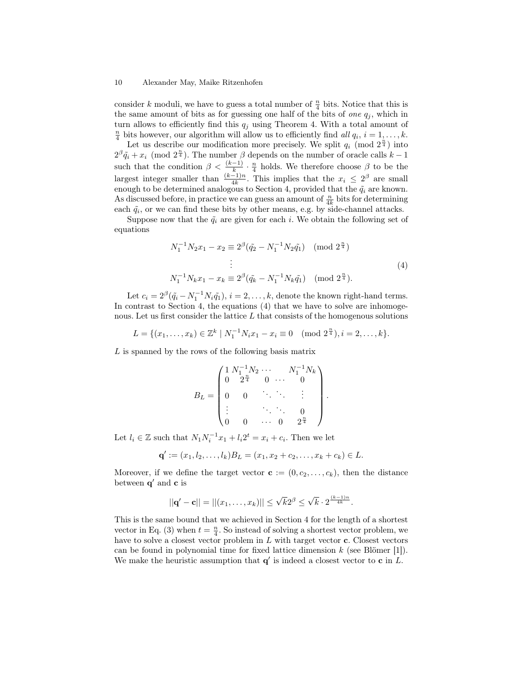consider k moduli, we have to guess a total number of  $\frac{n}{4}$  bits. Notice that this is the same amount of bits as for guessing one half of the bits of one  $q_j$ , which in turn allows to efficiently find this  $q_i$  using Theorem 4. With a total amount of  $\frac{n}{4}$  bits however, our algorithm will allow us to efficiently find all  $q_i$ ,  $i = 1, ..., k$ .

Let us describe our modification more precisely. We split  $q_i \pmod{2^{\frac{n}{4}}}$  into  $2^{\beta} \tilde{q}_i + x_i \pmod{2^{\frac{n}{4}}}$ . The number  $\beta$  depends on the number of oracle calls  $k-1$ such that the condition  $\beta < \frac{(k-1)}{k} \cdot \frac{n}{4}$  holds. We therefore choose  $\beta$  to be the largest integer smaller than  $\frac{(k-1)n}{4k}$ . This implies that the  $x_i \leq 2^{\beta}$  are small enough to be determined analogous to Section 4, provided that the  $\tilde{q}_i$  are known. As discussed before, in practice we can guess an amount of  $\frac{n}{4k}$  bits for determining each  $\tilde{q}_i$ , or we can find these bits by other means, e.g. by side-channel attacks.

Suppose now that the  $\tilde{q}_i$  are given for each i. We obtain the following set of equations

$$
N_1^{-1}N_2x_1 - x_2 \equiv 2^{\beta}(\tilde{q}_2 - N_1^{-1}N_2\tilde{q}_1) \pmod{2^{\frac{n}{4}}}
$$
  
 
$$
\vdots
$$
  
\n
$$
N_1^{-1}N_kx_1 - x_k \equiv 2^{\beta}(\tilde{q}_k - N_1^{-1}N_k\tilde{q}_1) \pmod{2^{\frac{n}{4}}}.
$$
\n
$$
(4)
$$

.

Let  $c_i = 2^{\beta}(\tilde{q}_i - N_1^{-1}N_i\tilde{q}_1), i = 2, \ldots, k$ , denote the known right-hand terms. In contrast to Section 4, the equations (4) that we have to solve are inhomogenous. Let us first consider the lattice  $L$  that consists of the homogenous solutions

 $L = \{ (x_1, \ldots, x_k) \in \mathbb{Z}^k \mid N_1^{-1} N_i x_1 - x_i \equiv 0 \pmod{2^{\frac{n}{4}}}, i = 2, \ldots, k \}.$ 

 $L$  is spanned by the rows of the following basis matrix

$$
B_L = \begin{pmatrix} 1 & N_1^{-1}N_2 & \cdots & N_1^{-1}N_k \\ 0 & 2^{\frac{n}{4}} & 0 & \cdots & 0 \\ 0 & 0 & \ddots & \ddots & \vdots \\ \vdots & & & \ddots & \ddots & 0 \\ 0 & 0 & \cdots & 0 & 2^{\frac{n}{4}} \end{pmatrix}
$$

Let  $l_i \in \mathbb{Z}$  such that  $N_1 N_i^{-1} x_1 + l_i 2^t = x_i + c_i$ . Then we let

$$
\mathbf{q}' := (x_1, l_2, \dots, l_k) B_L = (x_1, x_2 + c_2, \dots, x_k + c_k) \in L.
$$

Moreover, if we define the target vector  $\mathbf{c} := (0, c_2, \ldots, c_k)$ , then the distance between  $q'$  and  $c$  is

$$
||\mathbf{q}'-\mathbf{c}|| = ||(x_1,\ldots,x_k)|| \leq \sqrt{k}2^{\beta} \leq \sqrt{k} \cdot 2^{\frac{(k-1)n}{4k}}.
$$

This is the same bound that we achieved in Section 4 for the length of a shortest vector in Eq. (3) when  $t = \frac{n}{4}$ . So instead of solving a shortest vector problem, we have to solve a closest vector problem in  $L$  with target vector c. Closest vectors can be found in polynomial time for fixed lattice dimension  $k$  (see Blömer [1]). We make the heuristic assumption that  $q'$  is indeed a closest vector to  $c$  in  $L$ .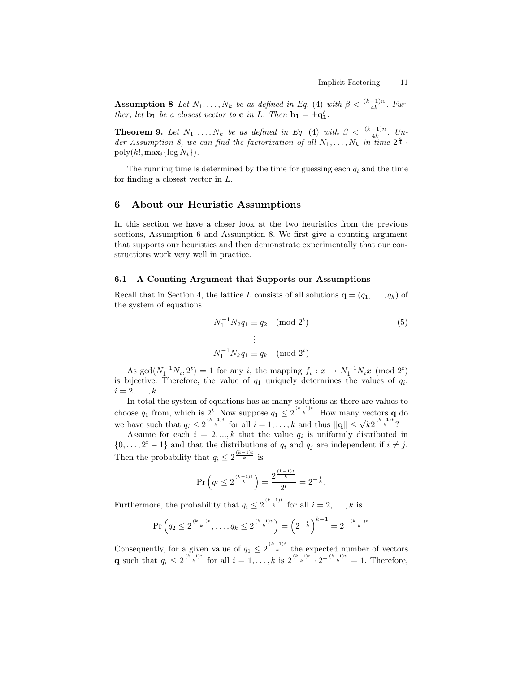**Assumption 8** Let  $N_1, \ldots, N_k$  be as defined in Eq. (4) with  $\beta < \frac{(k-1)n}{4k}$ . Further, let  $\mathbf{b_1}$  be a closest vector to **c** in L. Then  $\mathbf{b_1} = \pm \mathbf{q'_1}$ .

**Theorem 9.** Let  $N_1, \ldots, N_k$  be as defined in Eq. (4) with  $\beta < \frac{(k-1)n}{4k}$ . Under Assumption 8, we can find the factorization of all  $N_1, \ldots, N_k$  in time  $2^{\frac{n}{4}}$ .  $poly(k!, \max_i \{ \log N_i \}).$ 

The running time is determined by the time for guessing each  $\tilde{q}_i$  and the time for finding a closest vector in L.

## 6 About our Heuristic Assumptions

In this section we have a closer look at the two heuristics from the previous sections, Assumption 6 and Assumption 8. We first give a counting argument that supports our heuristics and then demonstrate experimentally that our constructions work very well in practice.

### 6.1 A Counting Argument that Supports our Assumptions

Recall that in Section 4, the lattice L consists of all solutions  $\mathbf{q} = (q_1, \ldots, q_k)$  of the system of equations

$$
N_1^{-1}N_2q_1 \equiv q_2 \pmod{2^t}
$$
  
\n
$$
\vdots
$$
  
\n
$$
N_1^{-1}N_kq_1 \equiv q_k \pmod{2^t}
$$
 (5)

As  $gcd(N_1^{-1}N_i, 2^t) = 1$  for any i, the mapping  $f_i: x \mapsto N_1^{-1}N_ix \pmod{2^t}$ is bijective. Therefore, the value of  $q_1$  uniquely determines the values of  $q_i$ ,  $i=2,\ldots,k$ .

In total the system of equations has as many solutions as there are values to choose  $q_1$  from, which is  $2^t$ . Now suppose  $q_1 \leq 2^{\frac{(k-1)t}{k}}$ . How many vectors **q** do we have such that  $q_i \leq 2^{\frac{(k-1)t}{k}}$  for all  $i = 1, ..., k$  and thus  $||\mathbf{q}|| \leq \sqrt{k} 2^{\frac{(k-1)t}{k}}$ ?

Assume for each  $i = 2, ..., k$  that the value  $q_i$  is uniformly distributed in  $\{0, \ldots, 2^t - 1\}$  and that the distributions of  $q_i$  and  $q_j$  are independent if  $i \neq j$ . Then the probability that  $q_i \leq 2^{\frac{(k-1)t}{k}}$  is

$$
\Pr\left(q_i \le 2^{\frac{(k-1)t}{k}}\right) = \frac{2^{\frac{(k-1)t}{k}}}{2^t} = 2^{-\frac{t}{k}}.
$$

Furthermore, the probability that  $q_i \leq 2^{\frac{(k-1)t}{k}}$  for all  $i = 2, \ldots, k$  is

$$
\Pr\left(q_2 \le 2^{\frac{(k-1)t}{k}}, \dots, q_k \le 2^{\frac{(k-1)t}{k}}\right) = \left(2^{-\frac{t}{k}}\right)^{k-1} = 2^{-\frac{(k-1)t}{k}}
$$

Consequently, for a given value of  $q_1 \n\t\leq 2^{\frac{(k-1)t}{k}}$  the expected number of vectors q such that  $q_i \leq 2^{\frac{(k-1)t}{k}}$  for all  $i = 1, ..., k$  is  $2^{\frac{(k-1)t}{k}} \cdot 2^{-\frac{(k-1)t}{k}} = 1$ . Therefore,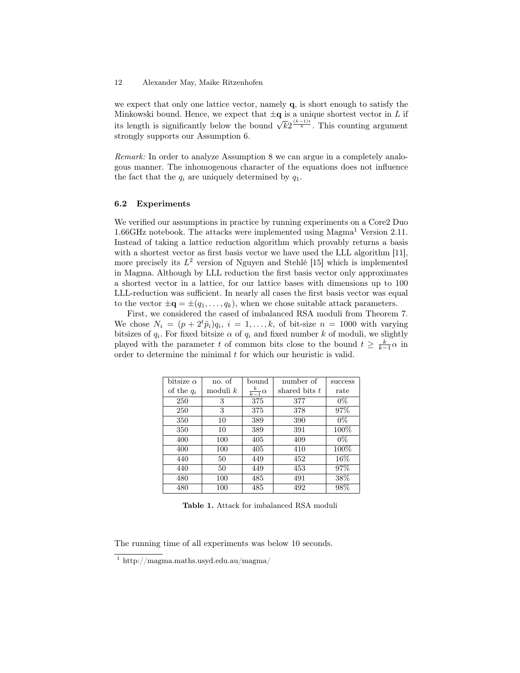we expect that only one lattice vector, namely q, is short enough to satisfy the Minkowski bound. Hence, we expect that  $\pm \mathbf{q}$  is a unique shortest vector in L if Minkowski bound. Hence, we expect that  $\perp \mathbf{q}$  is a unique shortest vector in E in<br>its length is significantly below the bound  $\sqrt{k}2^{\frac{(k-1)t}{k}}$ . This counting argument strongly supports our Assumption 6.

Remark: In order to analyze Assumption 8 we can argue in a completely analogous manner. The inhomogenous character of the equations does not influence the fact that the  $q_i$  are uniquely determined by  $q_1$ .

#### 6.2 Experiments

We verified our assumptions in practice by running experiments on a Core2 Duo 1.66GHz notebook. The attacks were implemented using  $Magma<sup>1</sup>$  Version 2.11. Instead of taking a lattice reduction algorithm which provably returns a basis with a shortest vector as first basis vector we have used the LLL algorithm [11], more precisely its  $L^2$  version of Nguyen and Stehlé [15] which is implemented in Magma. Although by LLL reduction the first basis vector only approximates a shortest vector in a lattice, for our lattice bases with dimensions up to 100 LLL-reduction was sufficient. In nearly all cases the first basis vector was equal to the vector  $\pm \mathbf{q} = \pm (q_1, \ldots, q_k)$ , when we chose suitable attack parameters.

First, we considered the cased of imbalanced RSA moduli from Theorem 7. We chose  $N_i = (p + 2^t \tilde{p}_i) q_i$ ,  $i = 1, ..., k$ , of bit-size  $n = 1000$  with varying bitsizes of  $q_i$ . For fixed bitsize  $\alpha$  of  $q_i$  and fixed number k of moduli, we slightly played with the parameter t of common bits close to the bound  $t \geq \frac{k}{k-1}\alpha$  in order to determine the minimal  $t$  for which our heuristic is valid.

| bitsize $\alpha$ | no. of        | bound                 | number of     | success |
|------------------|---------------|-----------------------|---------------|---------|
| of the $q_i$     | $moduli \; k$ | $\frac{k}{k-1}\alpha$ | shared bits t | rate    |
| 250              | 3             | 375                   | 377           | $0\%$   |
| 250              | 3             | 375                   | 378           | 97%     |
| 350              | 10            | 389                   | 390           | $0\%$   |
| 350              | 10            | 389                   | 391           | 100%    |
| 400              | 100           | 405                   | 409           | $0\%$   |
| 400              | 100           | 405                   | 410           | 100%    |
| 440              | 50            | 449                   | 452           | 16%     |
| 440              | 50            | 449                   | 453           | 97%     |
| 480              | 100           | 485                   | 491           | 38%     |
| 480              | 100           | 485                   | 492           | 98%     |

Table 1. Attack for imbalanced RSA moduli

The running time of all experiments was below 10 seconds.

<sup>1</sup> http://magma.maths.usyd.edu.au/magma/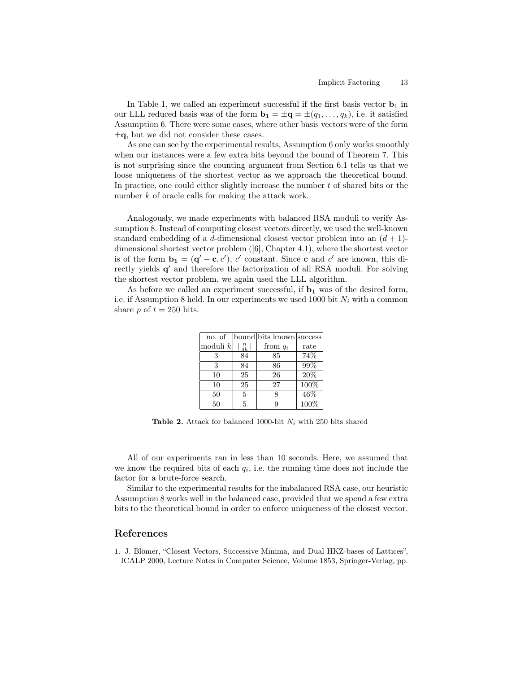In Table 1, we called an experiment successful if the first basis vector  $\mathbf{b}_1$  in our LLL reduced basis was of the form  $\mathbf{b_1} = \pm \mathbf{q} = \pm (q_1, \ldots, q_k)$ , i.e. it satisfied Assumption 6. There were some cases, where other basis vectors were of the form  $\pm$ q, but we did not consider these cases.

As one can see by the experimental results, Assumption 6 only works smoothly when our instances were a few extra bits beyond the bound of Theorem 7. This is not surprising since the counting argument from Section 6.1 tells us that we loose uniqueness of the shortest vector as we approach the theoretical bound. In practice, one could either slightly increase the number t of shared bits or the number k of oracle calls for making the attack work.

Analogously, we made experiments with balanced RSA moduli to verify Assumption 8. Instead of computing closest vectors directly, we used the well-known standard embedding of a d-dimensional closest vector problem into an  $(d+1)$ dimensional shortest vector problem ([6], Chapter 4.1), where the shortest vector is of the form  $\mathbf{b_1} = (\mathbf{q}' - \mathbf{c}, c')$ , c' constant. Since **c** and c' are known, this directly yields  $q'$  and therefore the factorization of all RSA moduli. For solving the shortest vector problem, we again used the LLL algorithm.

As before we called an experiment successful, if  $b_1$  was of the desired form, i.e. if Assumption 8 held. In our experiments we used 1000 bit  $N_i$  with a common share p of  $t = 250$  bits.

| no. of     |                | bound bits known success |      |
|------------|----------------|--------------------------|------|
| moduli $k$ | $\frac{n}{4k}$ | from $q_i$               | rate |
| 3          | 84             | 85                       | 74%  |
| 3          | 84             | 86                       | 99%  |
| 10         | 25             | 26                       | 20%  |
| 10         | 25             | 27                       | 100% |
| 50         | 5              |                          | 46\% |
| 50         | 5              | Q                        | 100% |

Table 2. Attack for balanced 1000-bit  $N_i$  with 250 bits shared

All of our experiments ran in less than 10 seconds. Here, we assumed that we know the required bits of each  $q_i$ , i.e. the running time does not include the factor for a brute-force search.

Similar to the experimental results for the imbalanced RSA case, our heuristic Assumption 8 works well in the balanced case, provided that we spend a few extra bits to the theoretical bound in order to enforce uniqueness of the closest vector.

## References

1. J. Blömer, "Closest Vectors, Successive Minima, and Dual HKZ-bases of Lattices", ICALP 2000, Lecture Notes in Computer Science, Volume 1853, Springer-Verlag, pp.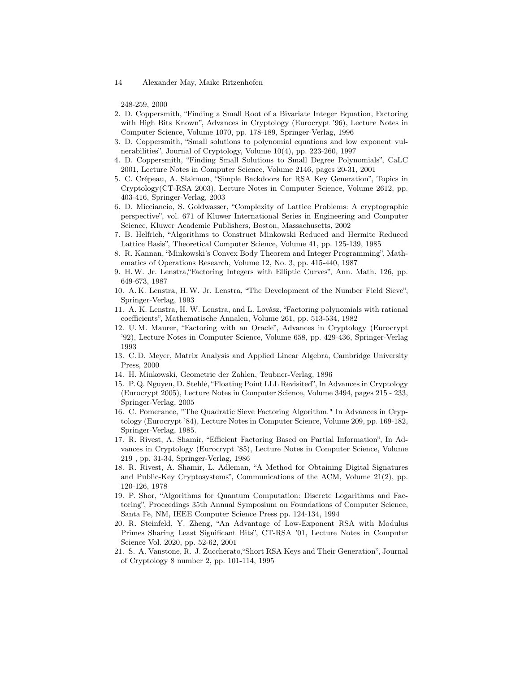248-259, 2000

- 2. D. Coppersmith, "Finding a Small Root of a Bivariate Integer Equation, Factoring with High Bits Known", Advances in Cryptology (Eurocrypt '96), Lecture Notes in Computer Science, Volume 1070, pp. 178-189, Springer-Verlag, 1996
- 3. D. Coppersmith, "Small solutions to polynomial equations and low exponent vulnerabilities", Journal of Cryptology, Volume 10(4), pp. 223-260, 1997
- 4. D. Coppersmith, "Finding Small Solutions to Small Degree Polynomials", CaLC 2001, Lecture Notes in Computer Science, Volume 2146, pages 20-31, 2001
- 5. C. Crépeau, A. Slakmon, "Simple Backdoors for RSA Key Generation", Topics in Cryptology(CT-RSA 2003), Lecture Notes in Computer Science, Volume 2612, pp. 403-416, Springer-Verlag, 2003
- 6. D. Micciancio, S. Goldwasser, "Complexity of Lattice Problems: A cryptographic perspective", vol. 671 of Kluwer International Series in Engineering and Computer Science, Kluwer Academic Publishers, Boston, Massachusetts, 2002
- 7. B. Helfrich, "Algorithms to Construct Minkowski Reduced and Hermite Reduced Lattice Basis", Theoretical Computer Science, Volume 41, pp. 125-139, 1985
- 8. R. Kannan, "Minkowski's Convex Body Theorem and Integer Programming", Mathematics of Operations Research, Volume 12, No. 3, pp. 415-440, 1987
- 9. H.W. Jr. Lenstra,"Factoring Integers with Elliptic Curves", Ann. Math. 126, pp. 649-673, 1987
- 10. A. K. Lenstra, H.W. Jr. Lenstra, "The Development of the Number Field Sieve", Springer-Verlag, 1993
- 11. A. K. Lenstra, H. W. Lenstra, and L. Lovász, "Factoring polynomials with rational coefficients", Mathematische Annalen, Volume 261, pp. 513-534, 1982
- 12. U. M. Maurer, "Factoring with an Oracle", Advances in Cryptology (Eurocrypt '92), Lecture Notes in Computer Science, Volume 658, pp. 429-436, Springer-Verlag 1993
- 13. C. D. Meyer, Matrix Analysis and Applied Linear Algebra, Cambridge University Press, 2000
- 14. H. Minkowski, Geometrie der Zahlen, Teubner-Verlag, 1896
- 15. P. Q. Nguyen, D. Stehlé, "Floating Point LLL Revisited", In Advances in Cryptology (Eurocrypt 2005), Lecture Notes in Computer Science, Volume 3494, pages 215 - 233, Springer-Verlag, 2005
- 16. C. Pomerance, "The Quadratic Sieve Factoring Algorithm." In Advances in Cryptology (Eurocrypt '84), Lecture Notes in Computer Science, Volume 209, pp. 169-182, Springer-Verlag, 1985.
- 17. R. Rivest, A. Shamir, "Efficient Factoring Based on Partial Information", In Advances in Cryptology (Eurocrypt '85), Lecture Notes in Computer Science, Volume 219 , pp. 31-34, Springer-Verlag, 1986
- 18. R. Rivest, A. Shamir, L. Adleman, "A Method for Obtaining Digital Signatures and Public-Key Cryptosystems", Communications of the ACM, Volume 21(2), pp. 120-126, 1978
- 19. P. Shor, "Algorithms for Quantum Computation: Discrete Logarithms and Factoring", Proceedings 35th Annual Symposium on Foundations of Computer Science, Santa Fe, NM, IEEE Computer Science Press pp. 124-134, 1994
- 20. R. Steinfeld, Y. Zheng, "An Advantage of Low-Exponent RSA with Modulus Primes Sharing Least Significant Bits", CT-RSA '01, Lecture Notes in Computer Science Vol. 2020, pp. 52-62, 2001
- 21. S. A. Vanstone, R. J. Zuccherato,"Short RSA Keys and Their Generation", Journal of Cryptology 8 number 2, pp. 101-114, 1995